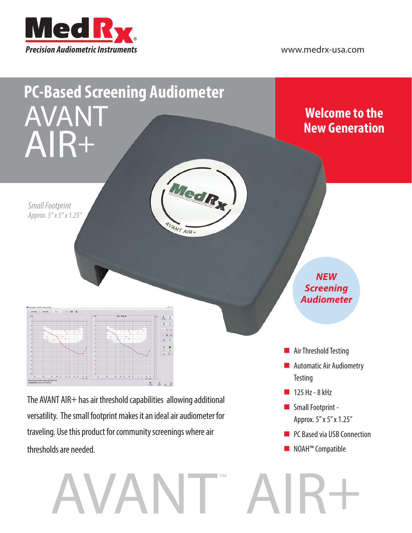



The AVANT AIR+ has air threshold capabilities allowing additional versatility. The small footprint makes it an ideal air audiometer for traveling. Use this product for community screenings where air thresholds are needed.

AVANT™

- **Small Footprint -**Approx. 5" x 5" x 1.25"
- **PC Based via USB Connection**
- NOAH™ Compatible

AIR+